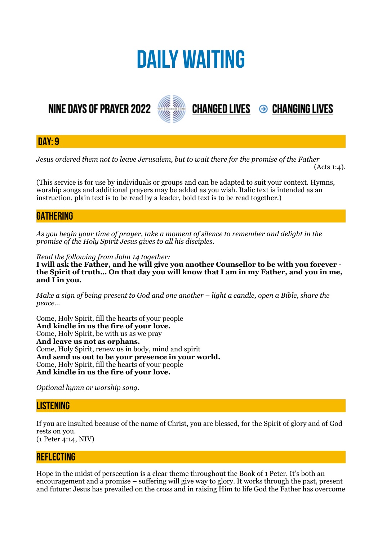# **DAILY WAITING**

# **NINE DAYS OF PRAYER 2022**



**DAY: 9**

*Jesus ordered them not to leave Jerusalem, but to wait there for the promise of the Father* 

 $(Acts 1:4)$ .

**CHANGED LIVES 
<sup>●</sup> CHANGING LIVES** 

(This service is for use by individuals or groups and can be adapted to suit your context. Hymns, worship songs and additional prayers may be added as you wish. Italic text is intended as an instruction, plain text is to be read by a leader, bold text is to be read together.)

# **GATHERING**

*As you begin your time of prayer, take a moment of silence to remember and delight in the promise of the Holy Spirit Jesus gives to all his disciples.*

*Read the following from John 14 together:* 

**I will ask the Father, and he will give you another Counsellor to be with you forever the Spirit of truth… On that day you will know that I am in my Father, and you in me, and I in you.** 

*Make a sign of being present to God and one another – light a candle, open a Bible, share the peace…* 

Come, Holy Spirit, fill the hearts of your people **And kindle in us the fire of your love.**  Come, Holy Spirit, be with us as we pray **And leave us not as orphans.**  Come, Holy Spirit, renew us in body, mind and spirit **And send us out to be your presence in your world.**  Come, Holy Spirit, fill the hearts of your people **And kindle in us the fire of your love.** 

*Optional hymn or worship song.* 

# **LISTENING**

If you are insulted because of the name of Christ, you are blessed, for the Spirit of glory and of God rests on you. (1 Peter 4:14, NIV)

### **REFLECTING**

Hope in the midst of persecution is a clear theme throughout the Book of 1 Peter. It's both an encouragement and a promise – suffering will give way to glory. It works through the past, present and future: Jesus has prevailed on the cross and in raising Him to life God the Father has overcome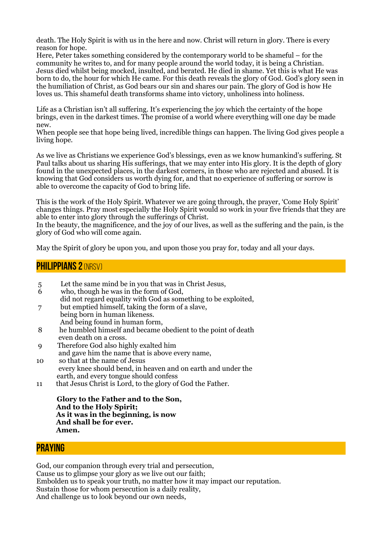death. The Holy Spirit is with us in the here and now. Christ will return in glory. There is every reason for hope.

Here, Peter takes something considered by the contemporary world to be shameful – for the community he writes to, and for many people around the world today, it is being a Christian. Jesus died whilst being mocked, insulted, and berated. He died in shame. Yet this is what He was born to do, the hour for which He came. For this death reveals the glory of God. God's glory seen in the humiliation of Christ, as God bears our sin and shares our pain. The glory of God is how He loves us. This shameful death transforms shame into victory, unholiness into holiness.

Life as a Christian isn't all suffering. It's experiencing the joy which the certainty of the hope brings, even in the darkest times. The promise of a world where everything will one day be made new.

When people see that hope being lived, incredible things can happen. The living God gives people a living hope.

As we live as Christians we experience God's blessings, even as we know humankind's suffering. St Paul talks about us sharing His sufferings, that we may enter into His glory. It is the depth of glory found in the unexpected places, in the darkest corners, in those who are rejected and abused. It is knowing that God considers us worth dying for, and that no experience of suffering or sorrow is able to overcome the capacity of God to bring life.

This is the work of the Holy Spirit. Whatever we are going through, the prayer, 'Come Holy Spirit' changes things. Pray most especially the Holy Spirit would so work in your five friends that they are able to enter into glory through the sufferings of Christ.

In the beauty, the magnificence, and the joy of our lives, as well as the suffering and the pain, is the glory of God who will come again.

May the Spirit of glory be upon you, and upon those you pray for, today and all your days.

#### **PHILIPPIANS 2 (NRSV)**

- 5 Let the same mind be in you that was in Christ Jesus,<br>6 who, though he was in the form of God.
- who, though he was in the form of God, did not regard equality with God as something to be exploited,
- 7 but emptied himself, taking the form of a slave, being born in human likeness. And being found in human form,
- 8 he humbled himself and became obedient to the point of death even death on a cross.
- 9 Therefore God also highly exalted him
- and gave him the name that is above every name,
- 10 so that at the name of Jesus every knee should bend, in heaven and on earth and under the earth, and every tongue should confess
- 11 that Jesus Christ is Lord, to the glory of God the Father.

 **Glory to the Father and to the Son, And to the Holy Spirit; As it was in the beginning, is now And shall be for ever. Amen.**

#### **PRAYING**

God, our companion through every trial and persecution, Cause us to glimpse your glory as we live out our faith; Embolden us to speak your truth, no matter how it may impact our reputation. Sustain those for whom persecution is a daily reality, And challenge us to look beyond our own needs,